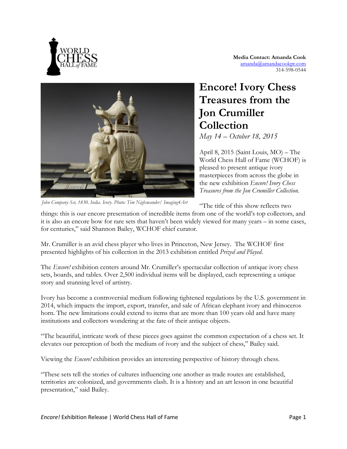

**Media Contact: Amanda Cook** [amanda@amandacookpr.com](mailto:amanda.g.cook@gmail.com) 314-598-0544



*John Company Set, 1830. India. Ivory. Photo: Tim Nighswander/ Imaging4Art*

## **Encore! Ivory Chess Treasures from the Jon Crumiller Collection** *May 14 – October 18, 2015*

April 8, 2015 (Saint Louis, MO) – The World Chess Hall of Fame (WCHOF) is pleased to present antique ivory masterpieces from across the globe in the new exhibition *Encore! Ivory Chess Treasures from the Jon Crumiller Collection.*

"The title of this show reflects two

things: this is our encore presentation of incredible items from one of the world's top collectors, and it is also an encore bow for rare sets that haven't been widely viewed for many years – in some cases, for centuries," said Shannon Bailey, WCHOF chief curator.

Mr. Crumiller is an avid chess player who lives in Princeton, New Jersey. The WCHOF first presented highlights of his collection in the 2013 exhibition entitled *Prized and Played*.

The *Encore!* exhibition centers around Mr. Crumiller's spectacular collection of antique ivory chess sets, boards, and tables. Over 2,500 individual items will be displayed, each representing a unique story and stunning level of artistry.

Ivory has become a controversial medium following tightened regulations by the U.S. government in 2014, which impacts the import, export, transfer, and sale of African elephant ivory and rhinoceros horn. The new limitations could extend to items that are more than 100 years old and have many institutions and collectors wondering at the fate of their antique objects.

"The beautiful, intricate work of these pieces goes against the common expectation of a chess set. It elevates our perception of both the medium of ivory and the subject of chess," Bailey said.

Viewing the *Encore!* exhibition provides an interesting perspective of history through chess.

"These sets tell the stories of cultures influencing one another as trade routes are established, territories are colonized, and governments clash. It is a history and an art lesson in one beautiful presentation," said Bailey.